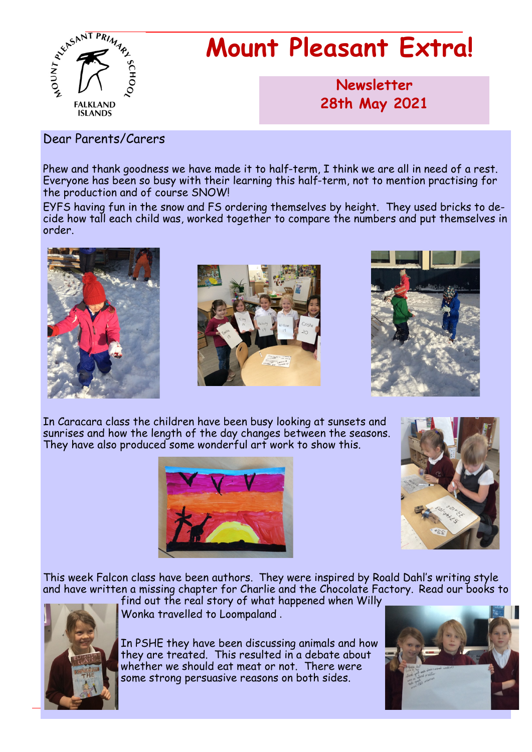

# **Mount Pleasant Extra!**

**Newsletter now 28th May 2021**

#### Dear Parents/Carers

Phew and thank goodness we have made it to half-term, I think we are all in need of a rest. Everyone has been so busy with their learning this half-term, not to mention practising for the production and of course SNOW!

EYFS having fun in the snow and FS ordering themselves by height. They used bricks to decide how tall each child was, worked together to compare the numbers and put themselves in order.







In Caracara class the children have been busy looking at sunsets and sunrises and how the length of the day changes between the seasons. They have also produced some wonderful art work to show this.





This week Falcon class have been authors. They were inspired by Roald Dahl's writing style and have written a missing chapter for Charlie and the Chocolate Factory. Read our books to



find out the real story of what happened when Willy Wonka travelled to Loompaland .

In PSHE they have been discussing animals and how they are treated. This resulted in a debate about whether we should eat meat or not. There were some strong persuasive reasons on both sides.